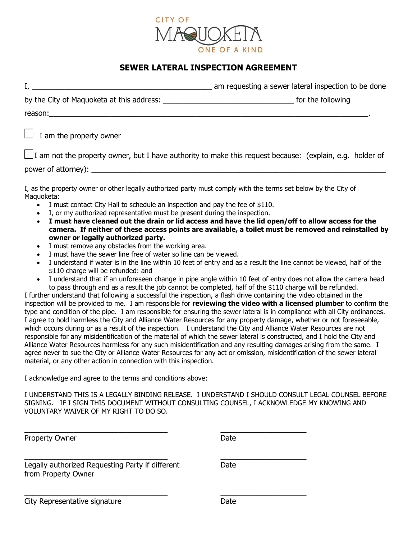

## **SEWER LATERAL INSPECTION AGREEMENT**

|                                           | am requesting a sewer lateral inspection to be done |
|-------------------------------------------|-----------------------------------------------------|
| by the City of Maguoketa at this address: | for the following                                   |
| reason:                                   |                                                     |

 $\Box$  I am the property owner

 $\Box$ I am not the property owner, but I have authority to make this request because: (explain, e.g. holder of

power of attorney):  $\Box$ 

I, as the property owner or other legally authorized party must comply with the terms set below by the City of Maquoketa:

- I must contact City Hall to schedule an inspection and pay the fee of \$110.
- I, or my authorized representative must be present during the inspection.
- **I must have cleaned out the drain or lid access and have the lid open/off to allow access for the camera. If neither of these access points are available, a toilet must be removed and reinstalled by owner or legally authorized party.**
- I must remove any obstacles from the working area.
- I must have the sewer line free of water so line can be viewed.
- I understand if water is in the line within 10 feet of entry and as a result the line cannot be viewed, half of the \$110 charge will be refunded: and
- I understand that if an unforeseen change in pipe angle within 10 feet of entry does not allow the camera head to pass through and as a result the job cannot be completed, half of the \$110 charge will be refunded.

I further understand that following a successful the inspection, a flash drive containing the video obtained in the inspection will be provided to me. I am responsible for **reviewing the video with a licensed plumber** to confirm the type and condition of the pipe. I am responsible for ensuring the sewer lateral is in compliance with all City ordinances. I agree to hold harmless the City and Alliance Water Resources for any property damage, whether or not foreseeable, which occurs during or as a result of the inspection. I understand the City and Alliance Water Resources are not responsible for any misidentification of the material of which the sewer lateral is constructed, and I hold the City and Alliance Water Resources harmless for any such misidentification and any resulting damages arising from the same. I agree never to sue the City or Alliance Water Resources for any act or omission, misidentification of the sewer lateral material, or any other action in connection with this inspection.

I acknowledge and agree to the terms and conditions above:

I UNDERSTAND THIS IS A LEGALLY BINDING RELEASE. I UNDERSTAND I SHOULD CONSULT LEGAL COUNSEL BEFORE SIGNING. IF I SIGN THIS DOCUMENT WITHOUT CONSULTING COUNSEL, I ACKNOWLEDGE MY KNOWING AND VOLUNTARY WAIVER OF MY RIGHT TO DO SO.

| <b>Property Owner</b>                                                   | Date |
|-------------------------------------------------------------------------|------|
| Legally authorized Requesting Party if different<br>from Property Owner | Date |
| City Representative signature                                           | Date |